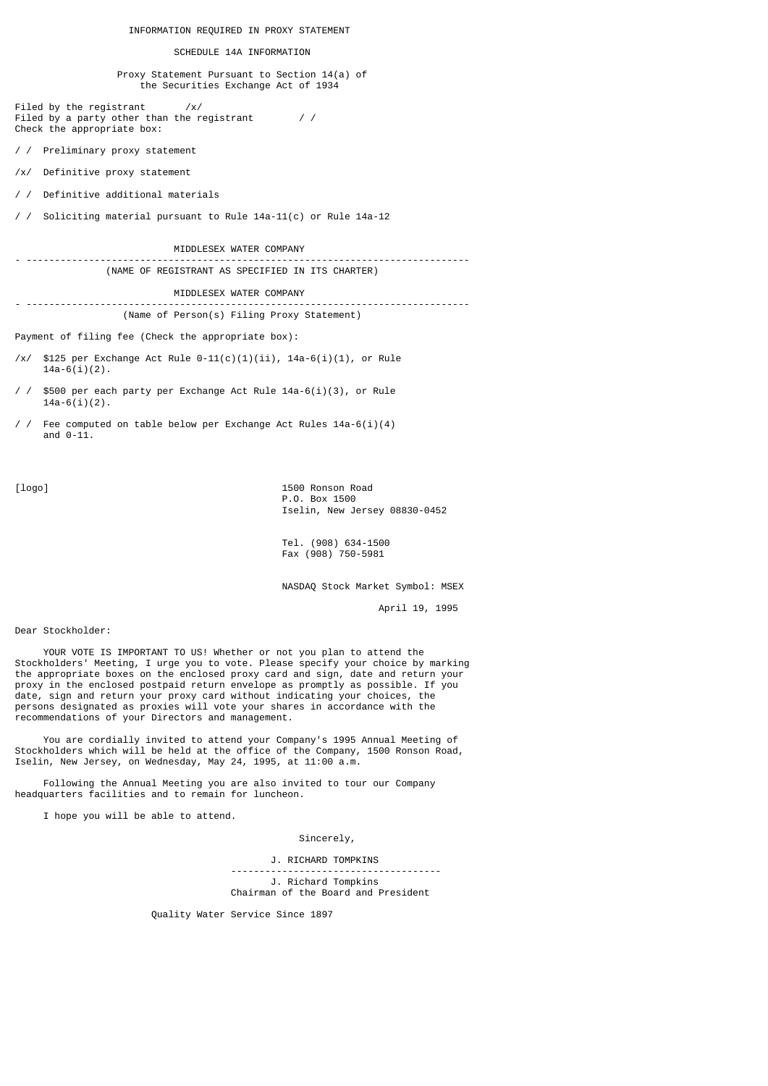#### INFORMATION REQUIRED IN PROXY STATEMENT

#### SCHEDULE 14A INFORMATION

 Proxy Statement Pursuant to Section 14(a) of the Securities Exchange Act of 1934

Filed by the registrant /x/ Filed by a party other than the registrant  $/$  / Check the appropriate box:

/ / Preliminary proxy statement

/x/ Definitive proxy statement

/ / Definitive additional materials

/ / Soliciting material pursuant to Rule 14a-11(c) or Rule 14a-12

 MIDDLESEX WATER COMPANY - ------------------------------------------------------------------------------

(NAME OF REGISTRANT AS SPECIFIED IN ITS CHARTER)

MIDDLESEX WATER COMPANY

- ------------------------------------------------------------------------------ (Name of Person(s) Filing Proxy Statement)

Payment of filing fee (Check the appropriate box):

- /x/ \$125 per Exchange Act Rule  $0-11(c)(1)(ii)$ , 14a-6(i)(1), or Rule  $14a-6(i)(2)$ .
- / / \$500 per each party per Exchange Act Rule 14a-6(i)(3), or Rule  $14a-6(i)(2)$ .
- / / Fee computed on table below per Exchange Act Rules 14a-6(i)(4) and  $0-11$ .

[logo] 1500 Ronson Road P.O. Box 1500 Iselin, New Jersey 08830-0452

> Tel. (908) 634-1500 Fax (908) 750-5981

NASDAQ Stock Market Symbol: MSEX

April 19, 1995

Dear Stockholder:

 YOUR VOTE IS IMPORTANT TO US! Whether or not you plan to attend the Stockholders' Meeting, I urge you to vote. Please specify your choice by marking the appropriate boxes on the enclosed proxy card and sign, date and return your proxy in the enclosed postpaid return envelope as promptly as possible. If you date, sign and return your proxy card without indicating your choices, the persons designated as proxies will vote your shares in accordance with the recommendations of your Directors and management.

 You are cordially invited to attend your Company's 1995 Annual Meeting of Stockholders which will be held at the office of the Company, 1500 Ronson Road, Iselin, New Jersey, on Wednesday, May 24, 1995, at 11:00 a.m.

 Following the Annual Meeting you are also invited to tour our Company headquarters facilities and to remain for luncheon.

I hope you will be able to attend.

Sincerely,

 J. RICHARD TOMPKINS ------------------------------------- J. Richard Tompkins Chairman of the Board and President

Quality Water Service Since 1897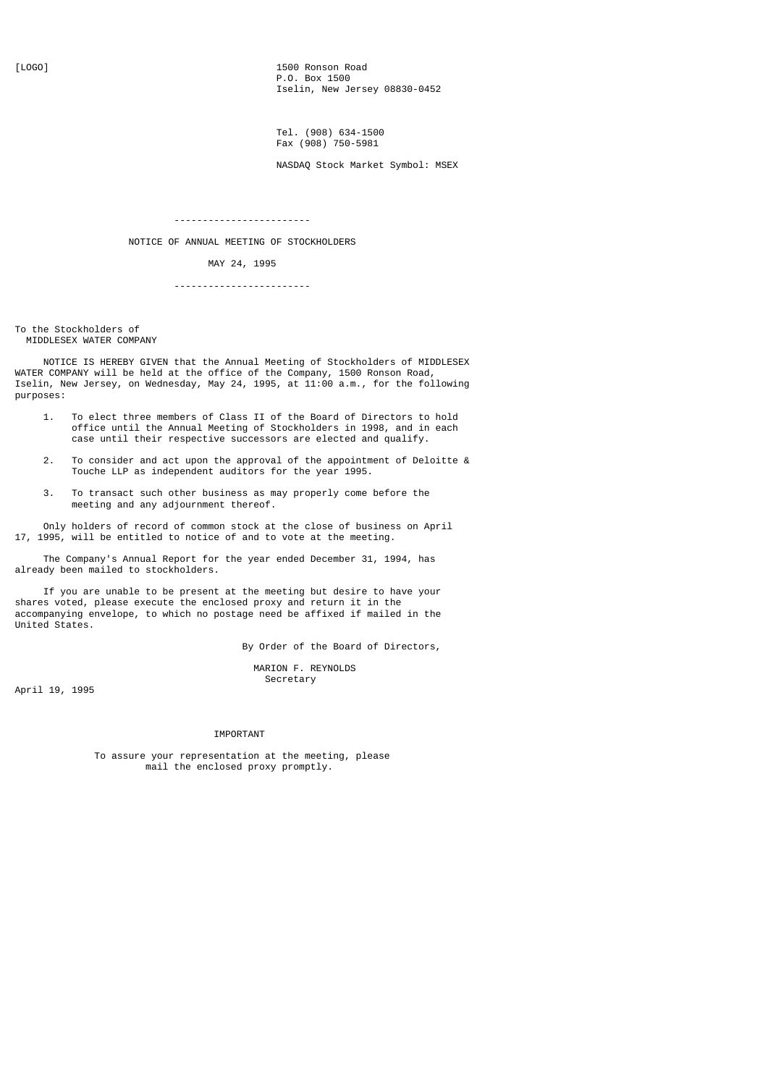[LOGO] 1500 Ronson Road P.O. Box 1500 Iselin, New Jersey 08830-0452

> Tel. (908) 634-1500 Fax (908) 750-5981

NASDAQ Stock Market Symbol: MSEX

------------------------

NOTICE OF ANNUAL MEETING OF STOCKHOLDERS

MAY 24, 1995

------------------------

To the Stockholders of MIDDLESEX WATER COMPANY

 NOTICE IS HEREBY GIVEN that the Annual Meeting of Stockholders of MIDDLESEX WATER COMPANY will be held at the office of the Company, 1500 Ronson Road, Iselin, New Jersey, on Wednesday, May 24, 1995, at 11:00 a.m., for the following purposes:

- 1. To elect three members of Class II of the Board of Directors to hold office until the Annual Meeting of Stockholders in 1998, and in each case until their respective successors are elected and qualify.
- 2. To consider and act upon the approval of the appointment of Deloitte & Touche LLP as independent auditors for the year 1995.
- 3. To transact such other business as may properly come before the meeting and any adjournment thereof.

 Only holders of record of common stock at the close of business on April 17, 1995, will be entitled to notice of and to vote at the meeting.

 The Company's Annual Report for the year ended December 31, 1994, has already been mailed to stockholders.

 If you are unable to be present at the meeting but desire to have your shares voted, please execute the enclosed proxy and return it in the accompanying envelope, to which no postage need be affixed if mailed in the United States.

By Order of the Board of Directors,

 MARION F. REYNOLDS Secretary

April 19, 1995

### IMPORTANT

 To assure your representation at the meeting, please mail the enclosed proxy promptly.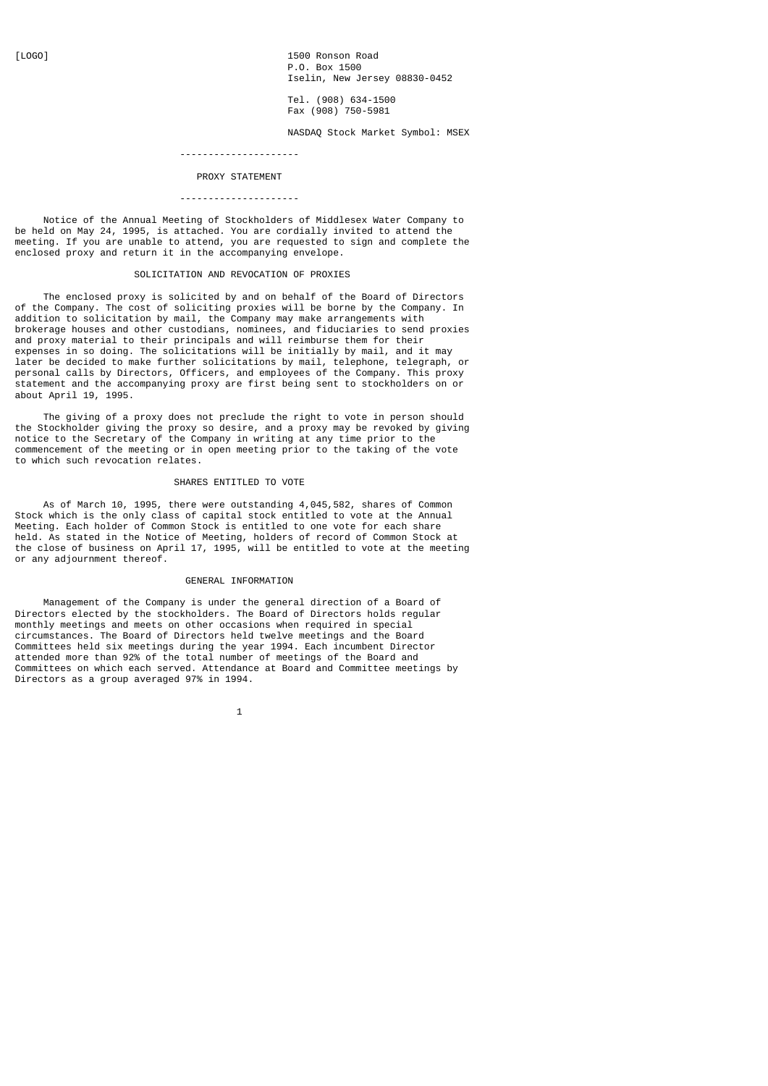[LOGO] 1500 Ronson Road P.O. Box 1500 Iselin, New Jersey 08830-0452

 $T$ el. (908) 634-1500 Fax (908) 750-5981

NASDAQ Stock Market Symbol: MSEX

# ---------------------

### PROXY STATEMENT

### ---------------------

 Notice of the Annual Meeting of Stockholders of Middlesex Water Company to be held on May 24, 1995, is attached. You are cordially invited to attend the meeting. If you are unable to attend, you are requested to sign and complete the enclosed proxy and return it in the accompanying envelope.

# SOLICITATION AND REVOCATION OF PROXIES

 The enclosed proxy is solicited by and on behalf of the Board of Directors of the Company. The cost of soliciting proxies will be borne by the Company. In addition to solicitation by mail, the Company may make arrangements with brokerage houses and other custodians, nominees, and fiduciaries to send proxies and proxy material to their principals and will reimburse them for their expenses in so doing. The solicitations will be initially by mail, and it may later be decided to make further solicitations by mail, telephone, telegraph, or personal calls by Directors, Officers, and employees of the Company. This proxy statement and the accompanying proxy are first being sent to stockholders on or about April 19, 1995.

 The giving of a proxy does not preclude the right to vote in person should the Stockholder giving the proxy so desire, and a proxy may be revoked by giving notice to the Secretary of the Company in writing at any time prior to the commencement of the meeting or in open meeting prior to the taking of the vote to which such revocation relates.

#### SHARES ENTITLED TO VOTE

 As of March 10, 1995, there were outstanding 4,045,582, shares of Common Stock which is the only class of capital stock entitled to vote at the Annual Meeting. Each holder of Common Stock is entitled to one vote for each share held. As stated in the Notice of Meeting, holders of record of Common Stock at the close of business on April 17, 1995, will be entitled to vote at the meeting or any adjournment thereof.

#### GENERAL INFORMATION

 Management of the Company is under the general direction of a Board of Directors elected by the stockholders. The Board of Directors holds regular monthly meetings and meets on other occasions when required in special circumstances. The Board of Directors held twelve meetings and the Board Committees held six meetings during the year 1994. Each incumbent Director attended more than 92% of the total number of meetings of the Board and Committees on which each served. Attendance at Board and Committee meetings by Directors as a group averaged 97% in 1994.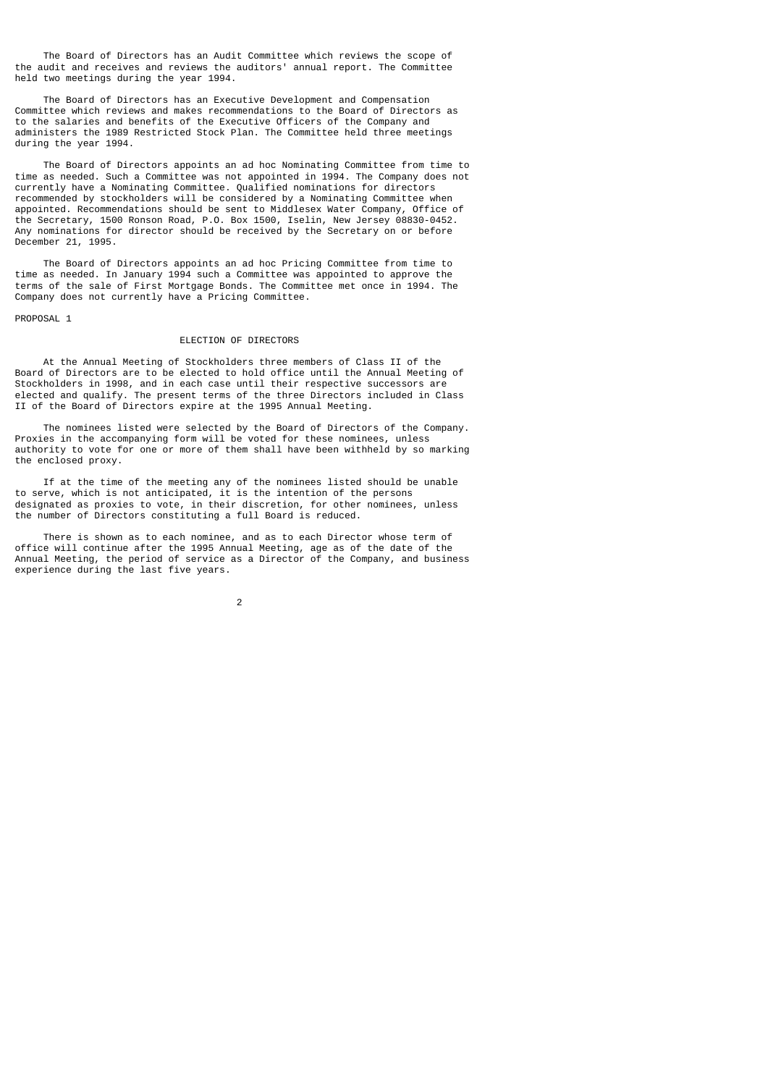The Board of Directors has an Audit Committee which reviews the scope of the audit and receives and reviews the auditors' annual report. The Committee held two meetings during the year 1994.

 The Board of Directors has an Executive Development and Compensation Committee which reviews and makes recommendations to the Board of Directors as to the salaries and benefits of the Executive Officers of the Company and administers the 1989 Restricted Stock Plan. The Committee held three meetings during the year 1994.

 The Board of Directors appoints an ad hoc Nominating Committee from time to time as needed. Such a Committee was not appointed in 1994. The Company does not currently have a Nominating Committee. Qualified nominations for directors recommended by stockholders will be considered by a Nominating Committee when appointed. Recommendations should be sent to Middlesex Water Company, Office of the Secretary, 1500 Ronson Road, P.O. Box 1500, Iselin, New Jersey 08830-0452. Any nominations for director should be received by the Secretary on or before December 21, 1995.

 The Board of Directors appoints an ad hoc Pricing Committee from time to time as needed. In January 1994 such a Committee was appointed to approve the terms of the sale of First Mortgage Bonds. The Committee met once in 1994. The Company does not currently have a Pricing Committee.

PROPOSAL 1

## ELECTION OF DIRECTORS

 At the Annual Meeting of Stockholders three members of Class II of the Board of Directors are to be elected to hold office until the Annual Meeting of Stockholders in 1998, and in each case until their respective successors are elected and qualify. The present terms of the three Directors included in Class II of the Board of Directors expire at the 1995 Annual Meeting.

 The nominees listed were selected by the Board of Directors of the Company. Proxies in the accompanying form will be voted for these nominees, unless authority to vote for one or more of them shall have been withheld by so marking the enclosed proxy.

 If at the time of the meeting any of the nominees listed should be unable to serve, which is not anticipated, it is the intention of the persons designated as proxies to vote, in their discretion, for other nominees, unless the number of Directors constituting a full Board is reduced.

 There is shown as to each nominee, and as to each Director whose term of office will continue after the 1995 Annual Meeting, age as of the date of the Annual Meeting, the period of service as a Director of the Company, and business experience during the last five years.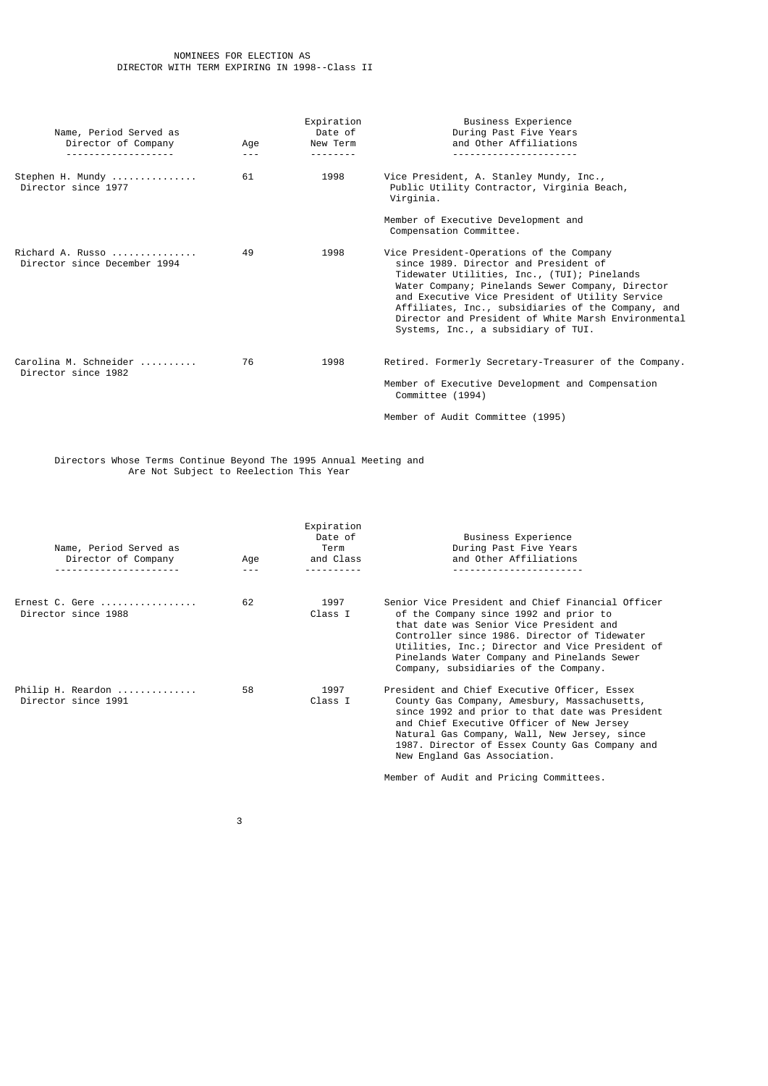| Name, Period Served as<br>Director of Company    | Age<br>$- - -$ | Expiration<br>Date of<br>New Term | Business Experience<br>During Past Five Years<br>and Other Affiliations                                                                                                                                                                                                                                                                                                                     |
|--------------------------------------------------|----------------|-----------------------------------|---------------------------------------------------------------------------------------------------------------------------------------------------------------------------------------------------------------------------------------------------------------------------------------------------------------------------------------------------------------------------------------------|
| Stephen H. Mundy<br>Director since 1977          | 61             | 1998                              | Vice President, A. Stanley Mundy, Inc.,<br>Public Utility Contractor, Virginia Beach,<br>Virginia.                                                                                                                                                                                                                                                                                          |
|                                                  |                |                                   | Member of Executive Development and<br>Compensation Committee.                                                                                                                                                                                                                                                                                                                              |
| Richard A. Russo<br>Director since December 1994 | 49             | 1998                              | Vice President-Operations of the Company<br>since 1989. Director and President of<br>Tidewater Utilities, Inc., (TUI); Pinelands<br>Water Company; Pinelands Sewer Company, Director<br>and Executive Vice President of Utility Service<br>Affiliates, Inc., subsidiaries of the Company, and<br>Director and President of White Marsh Environmental<br>Systems, Inc., a subsidiary of TUI. |
| Carolina M. Schneider<br>Director since 1982     | 76             | 1998                              | Retired. Formerly Secretary-Treasurer of the Company.<br>Member of Executive Development and Compensation<br>Committee (1994)                                                                                                                                                                                                                                                               |
|                                                  |                |                                   | Member of Audit Committee (1995)                                                                                                                                                                                                                                                                                                                                                            |

 Directors Whose Terms Continue Beyond The 1995 Annual Meeting and Are Not Subject to Reelection This Year

| Name, Period Served as<br>Director of Company<br>------------- | Age | Expiration<br>Date of<br>Term<br>and Class | Business Experience<br>During Past Five Years<br>and Other Affiliations                                                                                                                                                                                                                                                           |
|----------------------------------------------------------------|-----|--------------------------------------------|-----------------------------------------------------------------------------------------------------------------------------------------------------------------------------------------------------------------------------------------------------------------------------------------------------------------------------------|
| Ernest C. Gere<br>Director since 1988                          | 62  | 1997<br>Class I                            | Senior Vice President and Chief Financial Officer<br>of the Company since 1992 and prior to<br>that date was Senior Vice President and<br>Controller since 1986. Director of Tidewater<br>Utilities, Inc.; Director and Vice President of<br>Pinelands Water Company and Pinelands Sewer<br>Company, subsidiaries of the Company. |
| Philip H. Reardon<br>Director since 1991                       | 58  | 1997<br>Class I                            | President and Chief Executive Officer, Essex<br>County Gas Company, Amesbury, Massachusetts,<br>since 1992 and prior to that date was President<br>and Chief Executive Officer of New Jersey<br>Natural Gas Company, Wall, New Jersey, since<br>1987. Director of Essex County Gas Company and<br>New England Gas Association.    |
|                                                                |     |                                            | Member of Audit and Pricing Committees.                                                                                                                                                                                                                                                                                           |

 $\sim$  3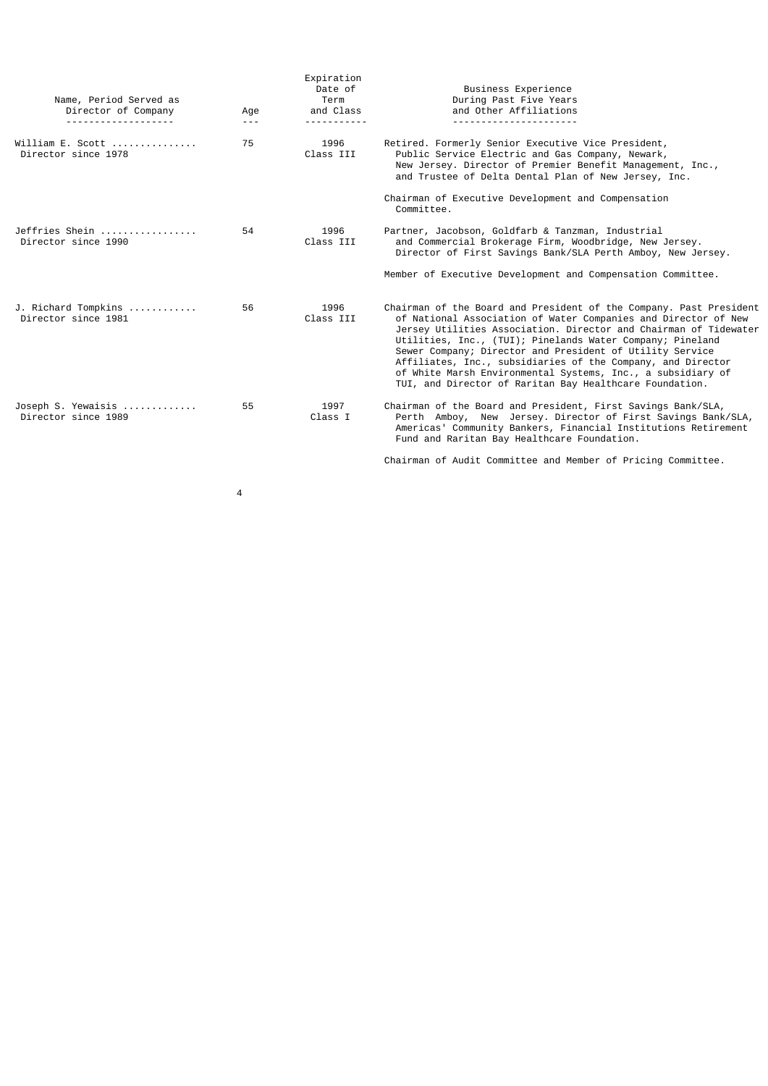| Name, Period Served as<br>Director of Company<br><u>.</u>        | Age<br>$- - -$ | Expiration<br>Date of<br>Term<br>and Class | Business Experience<br>During Past Five Years<br>and Other Affiliations                                                                                                                                                                                                                                                                                                                                                                                                                                                    |
|------------------------------------------------------------------|----------------|--------------------------------------------|----------------------------------------------------------------------------------------------------------------------------------------------------------------------------------------------------------------------------------------------------------------------------------------------------------------------------------------------------------------------------------------------------------------------------------------------------------------------------------------------------------------------------|
| William E. Scott $\ldots, \ldots, \ldots$<br>Director since 1978 | 75             | 1996<br>Class III                          | Retired. Formerly Senior Executive Vice President,<br>Public Service Electric and Gas Company, Newark,<br>New Jersey. Director of Premier Benefit Management, Inc.,<br>and Trustee of Delta Dental Plan of New Jersey, Inc.                                                                                                                                                                                                                                                                                                |
|                                                                  |                |                                            | Chairman of Executive Development and Compensation<br>Committee.                                                                                                                                                                                                                                                                                                                                                                                                                                                           |
| Jeffries Shein<br>Director since 1990                            | 54             | 1996<br>Class III                          | Partner, Jacobson, Goldfarb & Tanzman, Industrial<br>and Commercial Brokerage Firm, Woodbridge, New Jersey.<br>Director of First Savings Bank/SLA Perth Amboy, New Jersey.                                                                                                                                                                                                                                                                                                                                                 |
|                                                                  |                |                                            | Member of Executive Development and Compensation Committee.                                                                                                                                                                                                                                                                                                                                                                                                                                                                |
| J. Richard Tompkins<br>Director since 1981                       | 56             | 1996<br>Class III                          | Chairman of the Board and President of the Company. Past President<br>of National Association of Water Companies and Director of New<br>Jersey Utilities Association. Director and Chairman of Tidewater<br>Utilities, Inc., (TUI); Pinelands Water Company; Pineland<br>Sewer Company; Director and President of Utility Service<br>Affiliates, Inc., subsidiaries of the Company, and Director<br>of White Marsh Environmental Systems, Inc., a subsidiary of<br>TUI, and Director of Raritan Bay Healthcare Foundation. |
| Joseph S. Yewaisis<br>Director since 1989                        | 55             | 1997<br>Class I                            | Chairman of the Board and President, First Savings Bank/SLA,<br>Perth Amboy, New Jersey. Director of First Savings Bank/SLA,<br>Americas' Community Bankers, Financial Institutions Retirement<br>Fund and Raritan Bay Healthcare Foundation.                                                                                                                                                                                                                                                                              |
|                                                                  |                |                                            | Chairman of Audit Committee and Member of Pricing Committee.                                                                                                                                                                                                                                                                                                                                                                                                                                                               |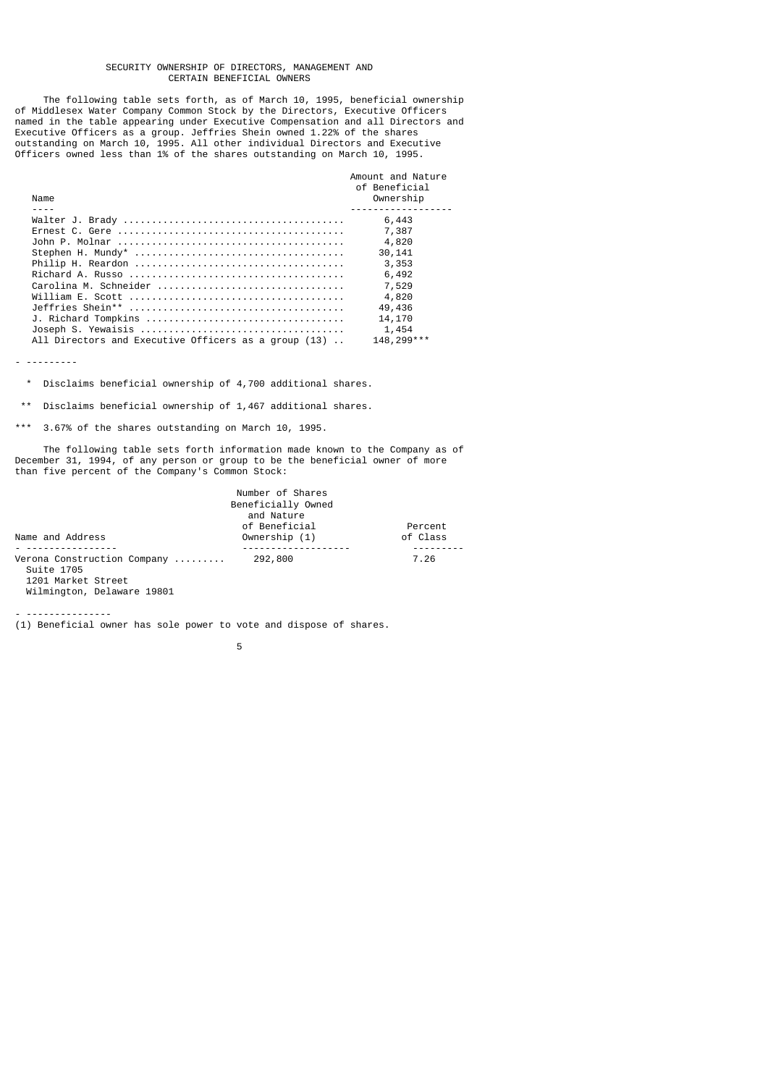#### SECURITY OWNERSHIP OF DIRECTORS, MANAGEMENT AND CERTAIN BENEFICIAL OWNERS

 The following table sets forth, as of March 10, 1995, beneficial ownership of Middlesex Water Company Common Stock by the Directors, Executive Officers named in the table appearing under Executive Compensation and all Directors and Executive Officers as a group. Jeffries Shein owned 1.22% of the shares outstanding on March 10, 1995. All other individual Directors and Executive Officers owned less than 1% of the shares outstanding on March 10, 1995.

|                                                          | Amount and Nature<br>of Beneficial |
|----------------------------------------------------------|------------------------------------|
| Name                                                     | Ownership                          |
|                                                          |                                    |
|                                                          | 6,443                              |
|                                                          | 7,387                              |
|                                                          | 4,820                              |
|                                                          | 30, 141                            |
|                                                          | 3,353                              |
|                                                          | 6,492                              |
| Carolina M. Schneider                                    | 7,529                              |
|                                                          | 4,820                              |
|                                                          | 49,436                             |
|                                                          | 14,170                             |
|                                                          | 1,454                              |
| All Directors and Executive Officers as a group $(13)$ . | 148, 299 ***                       |

- ---------

\* Disclaims beneficial ownership of 4,700 additional shares.

\*\* Disclaims beneficial ownership of 1,467 additional shares.

\*\*\* 3.67% of the shares outstanding on March 10, 1995.

 The following table sets forth information made known to the Company as of December 31, 1994, of any person or group to be the beneficial owner of more than five percent of the Company's Common Stock:

|                                           | Number of Shares   |          |
|-------------------------------------------|--------------------|----------|
|                                           | Beneficially Owned |          |
|                                           | and Nature         |          |
|                                           | of Beneficial      | Percent  |
| Name and Address                          | Ownership (1)      | of Class |
|                                           |                    |          |
| Verona Construction Company<br>Suite 1705 | 292,800            | 7.26     |
| $1201$ Morkot Ctroot                      |                    |          |

 1201 Market Street Wilmington, Delaware 19801

- ---------------

(1) Beneficial owner has sole power to vote and dispose of shares.

the contract of the contract of the contract of the contract of the contract of the contract of the contract o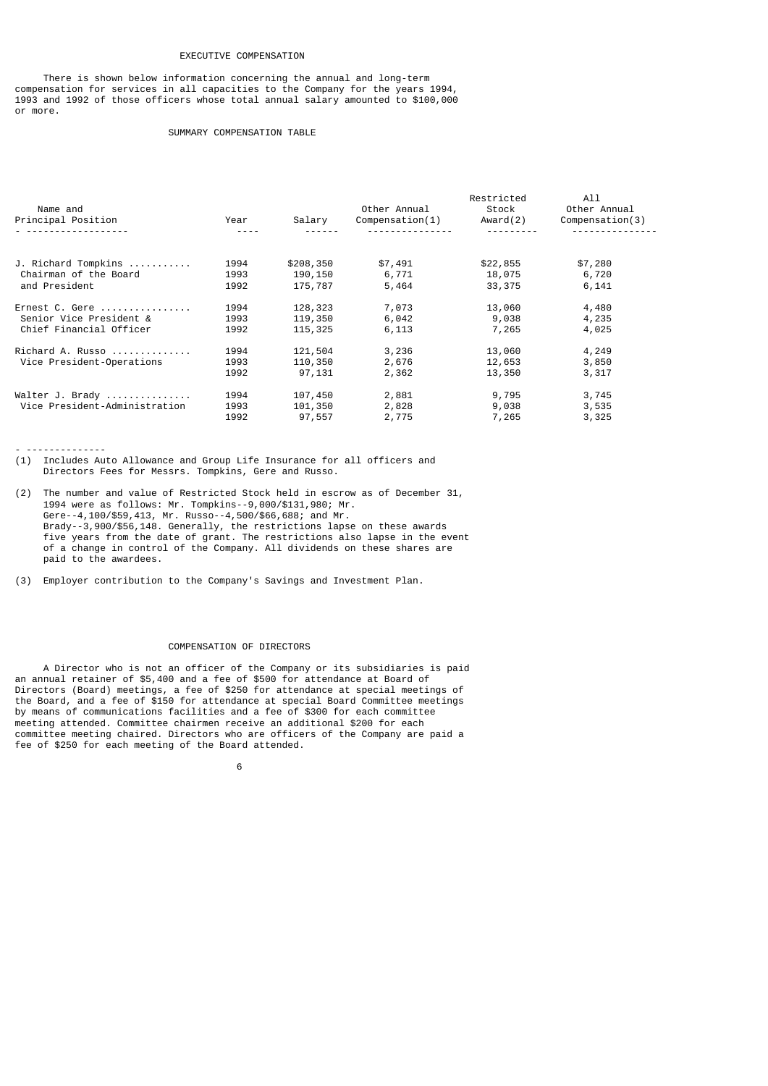# EXECUTIVE COMPENSATION

 There is shown below information concerning the annual and long-term compensation for services in all capacities to the Company for the years 1994, 1993 and 1992 of those officers whose total annual salary amounted to \$100,000 or more.

# SUMMARY COMPENSATION TABLE

| Name and<br>Principal Position | Year      | Salary    | Other Annual<br>Compenstation(1) | Restricted<br>Stock<br>Award(2) | All<br>Other Annual<br>Compenstation(3) |
|--------------------------------|-----------|-----------|----------------------------------|---------------------------------|-----------------------------------------|
|                                | $- - - -$ |           |                                  |                                 |                                         |
| J. Richard Tompkins            | 1994      | \$208,350 | \$7,491                          | \$22,855                        | \$7,280                                 |
| Chairman of the Board          | 1993      | 190,150   | 6,771                            | 18,075                          | 6,720                                   |
| and President                  | 1992      | 175,787   | 5,464                            | 33, 375                         | 6,141                                   |
| Ernest C. Gere                 | 1994      | 128,323   | 7,073                            | 13,060                          | 4,480                                   |
| Senior Vice President &        | 1993      | 119,350   | 6,042                            | 9,038                           | 4,235                                   |
| Chief Financial Officer        | 1992      | 115,325   | 6,113                            | 7,265                           | 4,025                                   |
| Richard A. Russo               | 1994      | 121,504   | 3,236                            | 13,060                          | 4,249                                   |
| Vice President-Operations      | 1993      | 110,350   | 2,676                            | 12,653                          | 3,850                                   |
|                                | 1992      | 97,131    | 2,362                            | 13,350                          | 3,317                                   |
| Walter J. Brady                | 1994      | 107,450   | 2,881                            | 9,795                           | 3,745                                   |
| Vice President-Administration  | 1993      | 101,350   | 2,828                            | 9,038                           | 3,535                                   |
|                                | 1992      | 97,557    | 2,775                            | 7,265                           | 3,325                                   |

- --------------

(1) Includes Auto Allowance and Group Life Insurance for all officers and Directors Fees for Messrs. Tompkins, Gere and Russo.

- (2) The number and value of Restricted Stock held in escrow as of December 31, 1994 were as follows: Mr. Tompkins--9,000/\$131,980; Mr. Gere--4,100/\$59,413, Mr. Russo--4,500/\$66,688; and Mr. Brady--3,900/\$56,148. Generally, the restrictions lapse on these awards five years from the date of grant. The restrictions also lapse in the event of a change in control of the Company. All dividends on these shares are paid to the awardees.
- (3) Employer contribution to the Company's Savings and Investment Plan.

# COMPENSATION OF DIRECTORS

 A Director who is not an officer of the Company or its subsidiaries is paid an annual retainer of \$5,400 and a fee of \$500 for attendance at Board of Directors (Board) meetings, a fee of \$250 for attendance at special meetings of the Board, and a fee of \$150 for attendance at special Board Committee meetings by means of communications facilities and a fee of \$300 for each committee meeting attended. Committee chairmen receive an additional \$200 for each committee meeting chaired. Directors who are officers of the Company are paid a fee of \$250 for each meeting of the Board attended.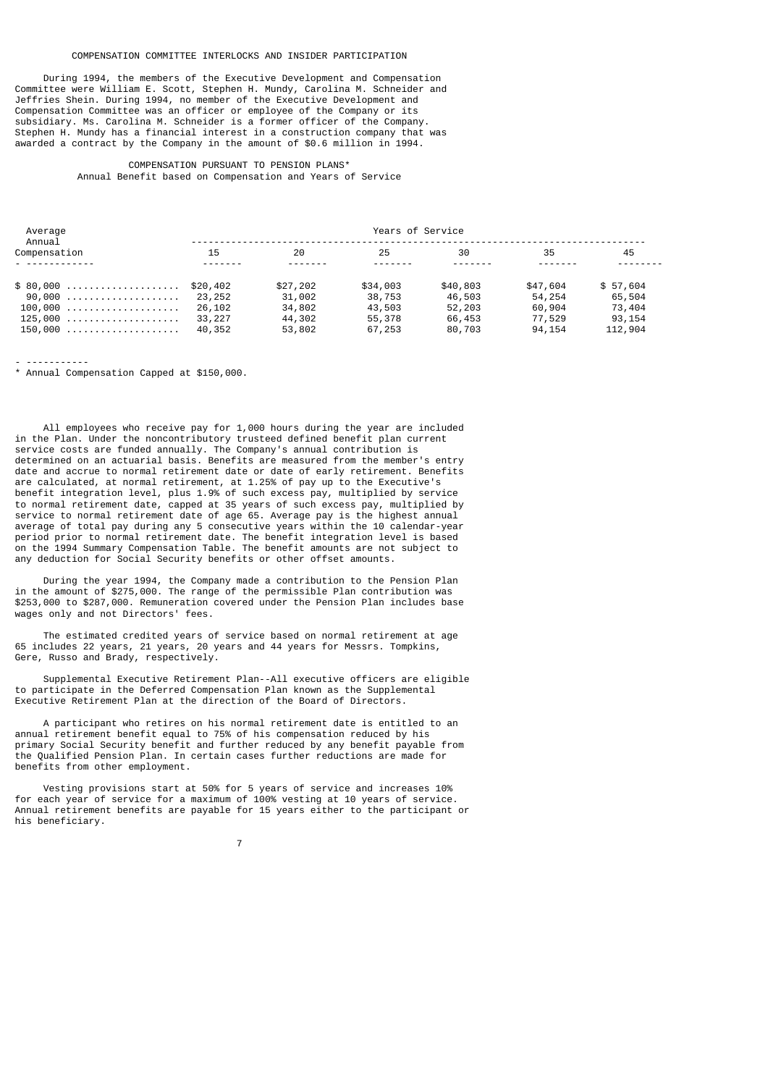# COMPENSATION COMMITTEE INTERLOCKS AND INSIDER PARTICIPATION

 During 1994, the members of the Executive Development and Compensation Committee were William E. Scott, Stephen H. Mundy, Carolina M. Schneider and Jeffries Shein. During 1994, no member of the Executive Development and Compensation Committee was an officer or employee of the Company or its subsidiary. Ms. Carolina M. Schneider is a former officer of the Company. Stephen H. Mundy has a financial interest in a construction company that was awarded a contract by the Company in the amount of \$0.6 million in 1994.

# COMPENSATION PURSUANT TO PENSION PLANS\*

Annual Benefit based on Compensation and Years of Service

| Average<br>Annual  |        |          | Years of Service |          |          |          |
|--------------------|--------|----------|------------------|----------|----------|----------|
| Compensation       | 15     | 20       | 25               | 30       | 35       | 45       |
| <u>.</u>           |        |          |                  |          |          |          |
| $$80,000$ \$20,402 |        | \$27,202 | \$34,003         | \$40,803 | \$47,604 | \$57.604 |
| 90,000  23,252     |        | 31,002   | 38,753           | 46,503   | 54, 254  | 65,504   |
| $100,000$ 26,102   |        | 34,802   | 43,503           | 52,203   | 60,904   | 73,404   |
| 125,000            | 33,227 | 44,302   | 55,378           | 66,453   | 77,529   | 93,154   |
| 150,000            | 40,352 | 53,802   | 67,253           | 80,703   | 94,154   | 112,904  |

- -----------

\* Annual Compensation Capped at \$150,000.

 All employees who receive pay for 1,000 hours during the year are included in the Plan. Under the noncontributory trusteed defined benefit plan current service costs are funded annually. The Company's annual contribution is determined on an actuarial basis. Benefits are measured from the member's entry date and accrue to normal retirement date or date of early retirement. Benefits are calculated, at normal retirement, at 1.25% of pay up to the Executive's benefit integration level, plus 1.9% of such excess pay, multiplied by service to normal retirement date, capped at 35 years of such excess pay, multiplied by service to normal retirement date of age 65. Average pay is the highest annual average of total pay during any 5 consecutive years within the 10 calendar-year period prior to normal retirement date. The benefit integration level is based on the 1994 Summary Compensation Table. The benefit amounts are not subject to any deduction for Social Security benefits or other offset amounts.

 During the year 1994, the Company made a contribution to the Pension Plan in the amount of \$275,000. The range of the permissible Plan contribution was \$253,000 to \$287,000. Remuneration covered under the Pension Plan includes base wages only and not Directors' fees.

 The estimated credited years of service based on normal retirement at age 65 includes 22 years, 21 years, 20 years and 44 years for Messrs. Tompkins, Gere, Russo and Brady, respectively.

 Supplemental Executive Retirement Plan--All executive officers are eligible to participate in the Deferred Compensation Plan known as the Supplemental Executive Retirement Plan at the direction of the Board of Directors.

 A participant who retires on his normal retirement date is entitled to an annual retirement benefit equal to 75% of his compensation reduced by his primary Social Security benefit and further reduced by any benefit payable from the Qualified Pension Plan. In certain cases further reductions are made for benefits from other employment.

 Vesting provisions start at 50% for 5 years of service and increases 10% for each year of service for a maximum of 100% vesting at 10 years of service. Annual retirement benefits are payable for 15 years either to the participant or his beneficiary.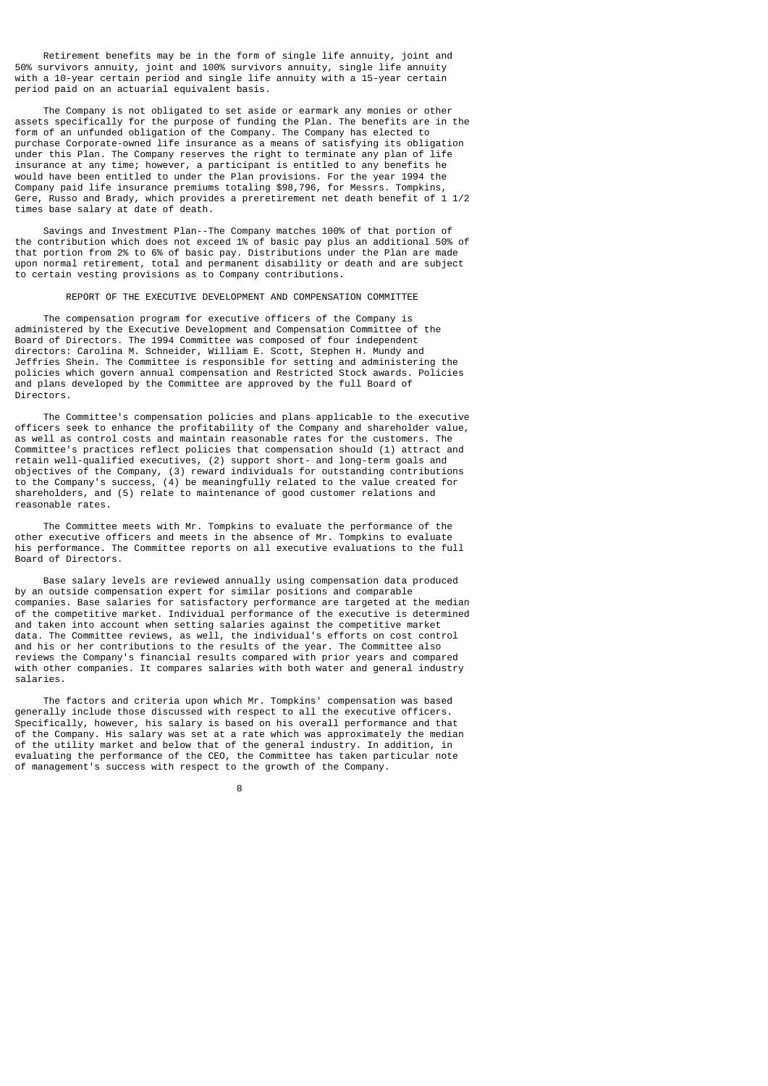Retirement benefits may be in the form of single life annuity, joint and 50% survivors annuity, joint and 100% survivors annuity, single life annuity with a 10-year certain period and single life annuity with a 15-year certain period paid on an actuarial equivalent basis.

 The Company is not obligated to set aside or earmark any monies or other assets specifically for the purpose of funding the Plan. The benefits are in the form of an unfunded obligation of the Company. The Company has elected to purchase Corporate-owned life insurance as a means of satisfying its obligation under this Plan. The Company reserves the right to terminate any plan of life insurance at any time; however, a participant is entitled to any benefits he would have been entitled to under the Plan provisions. For the year 1994 the Company paid life insurance premiums totaling \$98,796, for Messrs. Tompkins, Gere, Russo and Brady, which provides a preretirement net death benefit of 1 1/2 times base salary at date of death.

 Savings and Investment Plan--The Company matches 100% of that portion of the contribution which does not exceed 1% of basic pay plus an additional 50% of that portion from 2% to 6% of basic pay. Distributions under the Plan are made upon normal retirement, total and permanent disability or death and are subject to certain vesting provisions as to Company contributions.

#### REPORT OF THE EXECUTIVE DEVELOPMENT AND COMPENSATION COMMITTEE

 The compensation program for executive officers of the Company is administered by the Executive Development and Compensation Committee of the Board of Directors. The 1994 Committee was composed of four independent directors: Carolina M. Schneider, William E. Scott, Stephen H. Mundy and Jeffries Shein. The Committee is responsible for setting and administering the policies which govern annual compensation and Restricted Stock awards. Policies and plans developed by the Committee are approved by the full Board of Directors.

 The Committee's compensation policies and plans applicable to the executive officers seek to enhance the profitability of the Company and shareholder value, as well as control costs and maintain reasonable rates for the customers. The Committee's practices reflect policies that compensation should (1) attract and retain well-qualified executives, (2) support short- and long-term goals and objectives of the Company, (3) reward individuals for outstanding contributions to the Company's success, (4) be meaningfully related to the value created for shareholders, and (5) relate to maintenance of good customer relations and reasonable rates.

 The Committee meets with Mr. Tompkins to evaluate the performance of the other executive officers and meets in the absence of Mr. Tompkins to evaluate his performance. The Committee reports on all executive evaluations to the full Board of Directors.

 Base salary levels are reviewed annually using compensation data produced by an outside compensation expert for similar positions and comparable companies. Base salaries for satisfactory performance are targeted at the median of the competitive market. Individual performance of the executive is determined and taken into account when setting salaries against the competitive market data. The Committee reviews, as well, the individual's efforts on cost control and his or her contributions to the results of the year. The Committee also reviews the Company's financial results compared with prior years and compared with other companies. It compares salaries with both water and general industry salaries.

 The factors and criteria upon which Mr. Tompkins' compensation was based generally include those discussed with respect to all the executive officers. Specifically, however, his salary is based on his overall performance and that of the Company. His salary was set at a rate which was approximately the median of the utility market and below that of the general industry. In addition, in evaluating the performance of the CEO, the Committee has taken particular note of management's success with respect to the growth of the Company.

e a construction de la construction de la construction de la construction de la construction de la constructio<br>En 1980, en 1980, en 1980, en 1980, en 1980, en 1980, en 1980, en 1980, en 1980, en 1980, en 1980, en 1980, en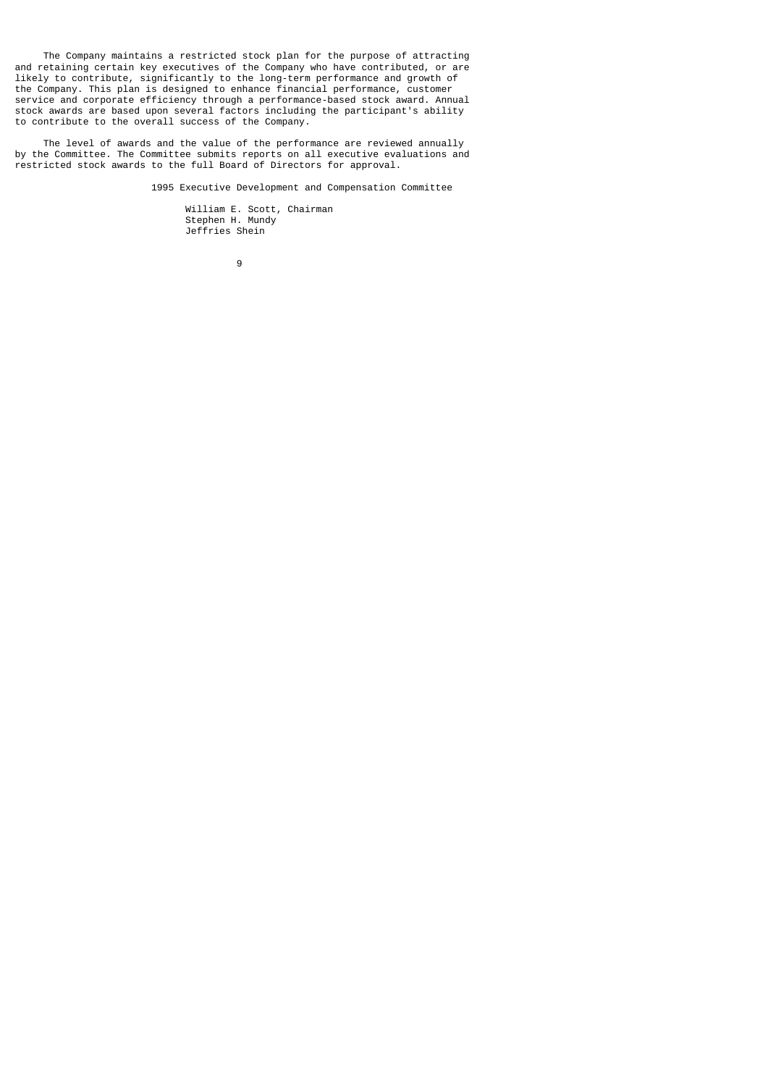The Company maintains a restricted stock plan for the purpose of attracting and retaining certain key executives of the Company who have contributed, or are likely to contribute, significantly to the long-term performance and growth of the Company. This plan is designed to enhance financial performance, customer service and corporate efficiency through a performance-based stock award. Annual stock awards are based upon several factors including the participant's ability to contribute to the overall success of the Company.

 The level of awards and the value of the performance are reviewed annually by the Committee. The Committee submits reports on all executive evaluations and restricted stock awards to the full Board of Directors for approval.

1995 Executive Development and Compensation Committee

 William E. Scott, Chairman Stephen H. Mundy Jeffries Shein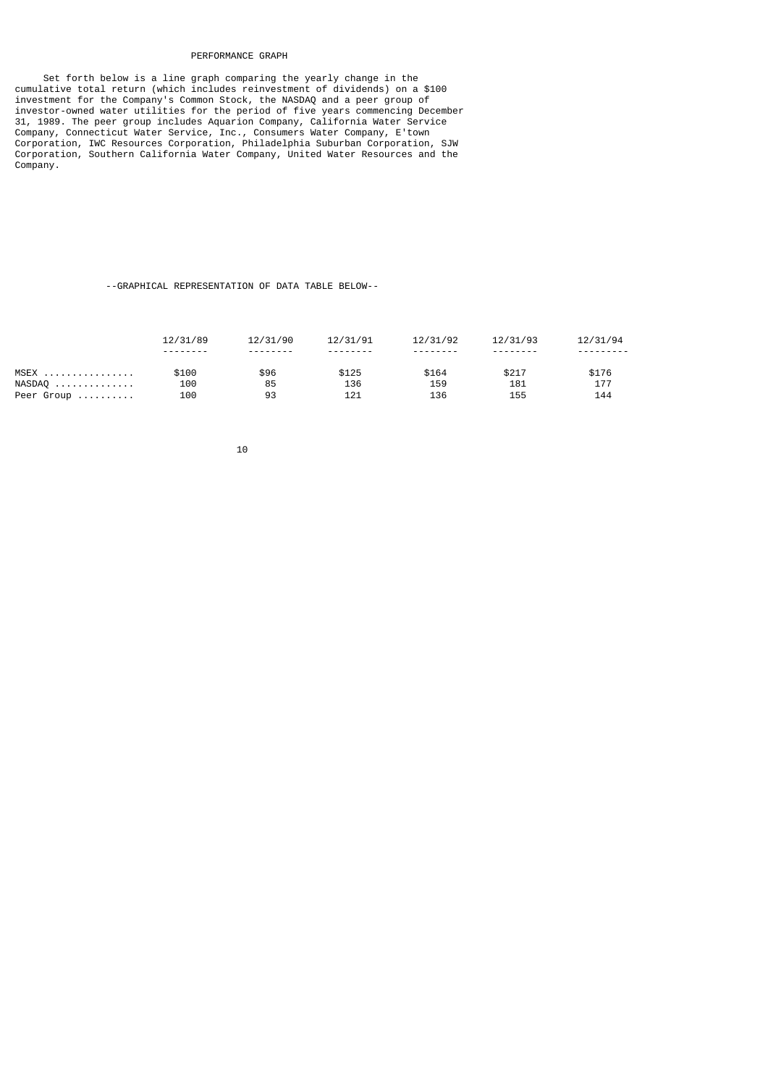# PERFORMANCE GRAPH

 Set forth below is a line graph comparing the yearly change in the cumulative total return (which includes reinvestment of dividends) on a \$100 investment for the Company's Common Stock, the NASDAQ and a peer group of investor-owned water utilities for the period of five years commencing December 31, 1989. The peer group includes Aquarion Company, California Water Service Company, Connecticut Water Service, Inc., Consumers Water Company, E'town Corporation, IWC Resources Corporation, Philadelphia Suburban Corporation, SJW Corporation, Southern California Water Company, United Water Resources and the Company.

# --GRAPHICAL REPRESENTATION OF DATA TABLE BELOW--

|            | 12/31/89 | 12/31/90 | 12/31/91 | 12/31/92 | 12/31/93 | 12/31/94 |
|------------|----------|----------|----------|----------|----------|----------|
|            | -------- | -------- |          |          |          |          |
| MSEX       | \$100    | \$96     | \$125    | \$164    | \$217    | \$176    |
| NASDAQ     | 100      | 85       | 136      | 159      | 181      | 177      |
| Peer Group | 100      | 93       | 121      | 136      | 155      | 144      |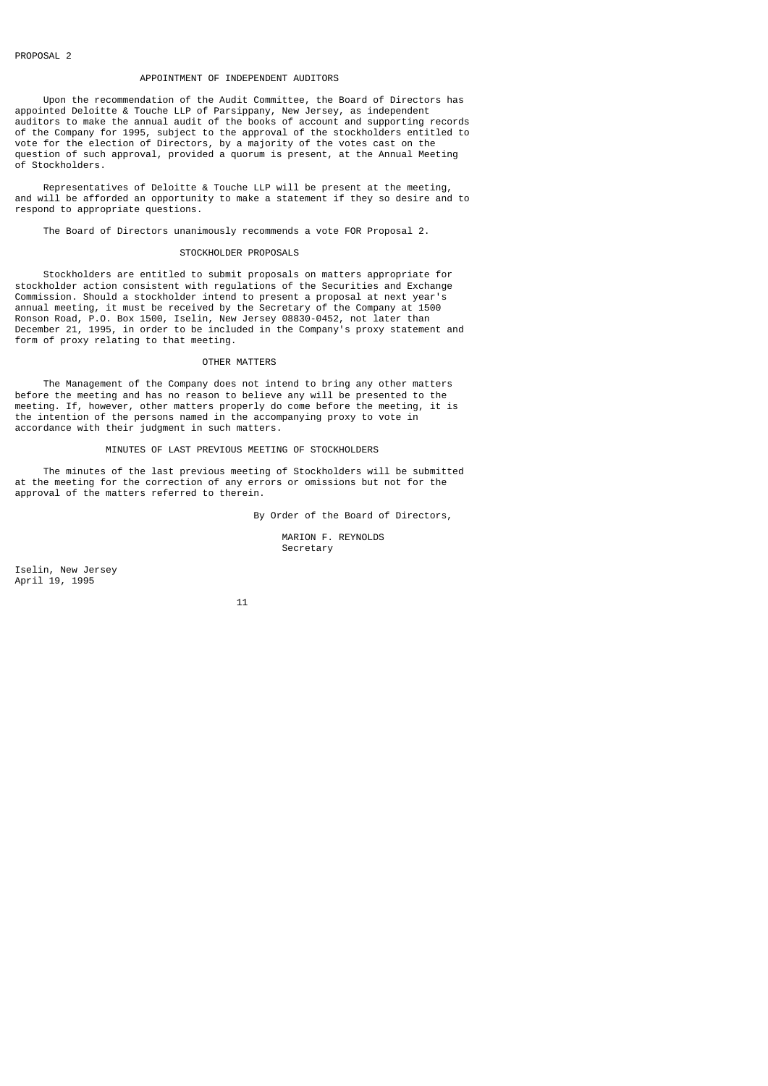# APPOINTMENT OF INDEPENDENT AUDITORS

 Upon the recommendation of the Audit Committee, the Board of Directors has appointed Deloitte & Touche LLP of Parsippany, New Jersey, as independent auditors to make the annual audit of the books of account and supporting records of the Company for 1995, subject to the approval of the stockholders entitled to vote for the election of Directors, by a majority of the votes cast on the question of such approval, provided a quorum is present, at the Annual Meeting of Stockholders.

 Representatives of Deloitte & Touche LLP will be present at the meeting, and will be afforded an opportunity to make a statement if they so desire and to respond to appropriate questions.

The Board of Directors unanimously recommends a vote FOR Proposal 2.

# STOCKHOLDER PROPOSALS

 Stockholders are entitled to submit proposals on matters appropriate for stockholder action consistent with regulations of the Securities and Exchange Commission. Should a stockholder intend to present a proposal at next year's annual meeting, it must be received by the Secretary of the Company at 1500 Ronson Road, P.O. Box 1500, Iselin, New Jersey 08830-0452, not later than December 21, 1995, in order to be included in the Company's proxy statement and form of proxy relating to that meeting.

#### OTHER MATTERS

 The Management of the Company does not intend to bring any other matters before the meeting and has no reason to believe any will be presented to the meeting. If, however, other matters properly do come before the meeting, it is the intention of the persons named in the accompanying proxy to vote in accordance with their judgment in such matters.

# MINUTES OF LAST PREVIOUS MEETING OF STOCKHOLDERS

 The minutes of the last previous meeting of Stockholders will be submitted at the meeting for the correction of any errors or omissions but not for the approval of the matters referred to therein.

By Order of the Board of Directors,

 MARION F. REYNOLDS Secretary

Iselin, New Jersey April 19, 1995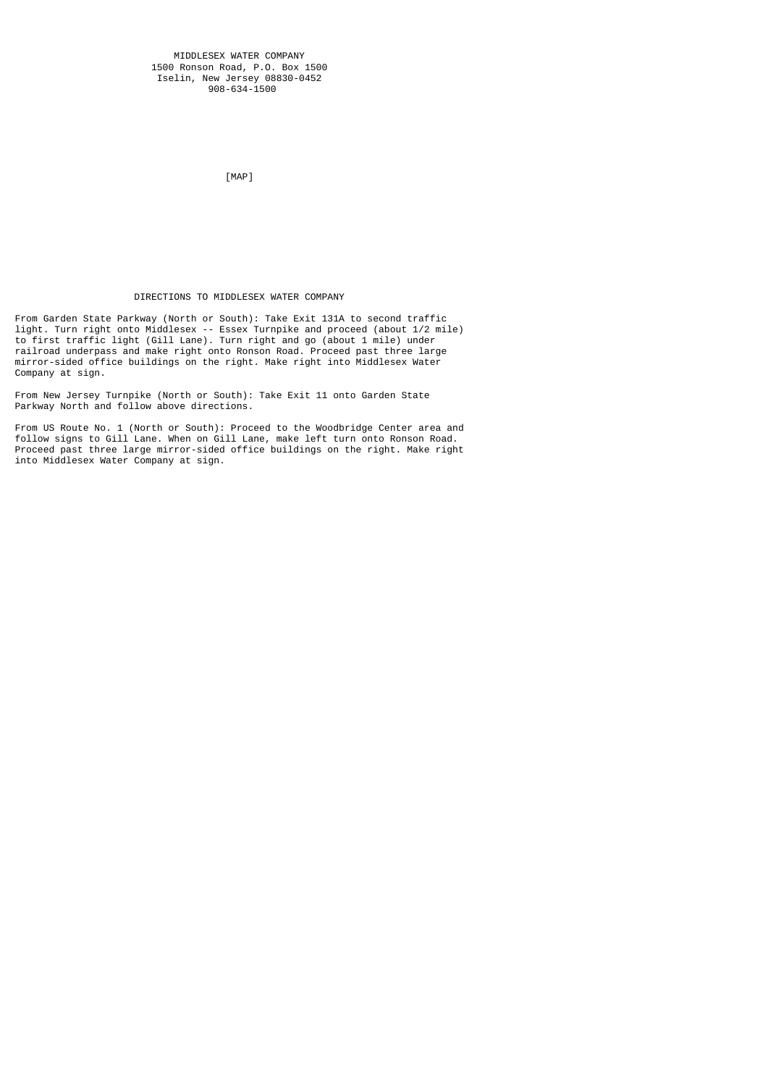[MAP]

# DIRECTIONS TO MIDDLESEX WATER COMPANY

From Garden State Parkway (North or South): Take Exit 131A to second traffic light. Turn right onto Middlesex -- Essex Turnpike and proceed (about 1/2 mile) to first traffic light (Gill Lane). Turn right and go (about 1 mile) under railroad underpass and make right onto Ronson Road. Proceed past three large mirror-sided office buildings on the right. Make right into Middlesex Water Company at sign.

From New Jersey Turnpike (North or South): Take Exit 11 onto Garden State Parkway North and follow above directions.

From US Route No. 1 (North or South): Proceed to the Woodbridge Center area and follow signs to Gill Lane. When on Gill Lane, make left turn onto Ronson Road. Proceed past three large mirror-sided office buildings on the right. Make right into Middlesex Water Company at sign.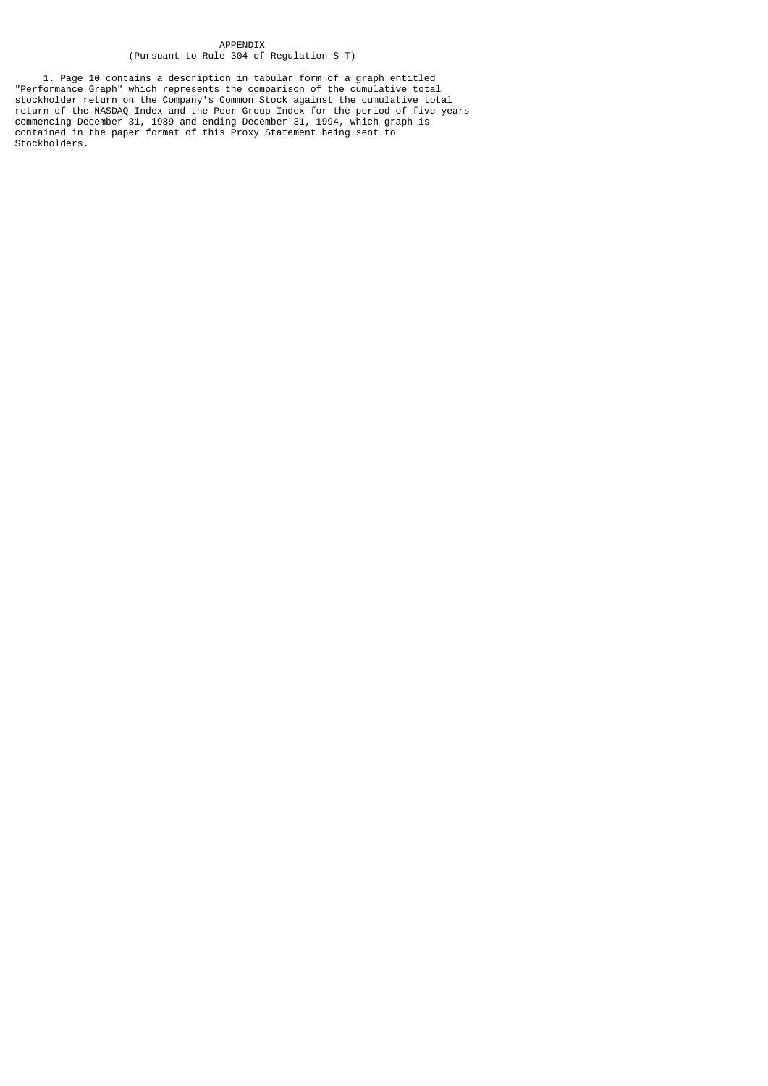### APPENDIX (Pursuant to Rule 304 of Regulation S-T)

 1. Page 10 contains a description in tabular form of a graph entitled "Performance Graph" which represents the comparison of the cumulative total stockholder return on the Company's Common Stock against the cumulative total return of the NASDAQ Index and the Peer Group Index for the period of five years commencing December 31, 1989 and ending December 31, 1994, which graph is contained in the paper format of this Proxy Statement being sent to Stockholders.